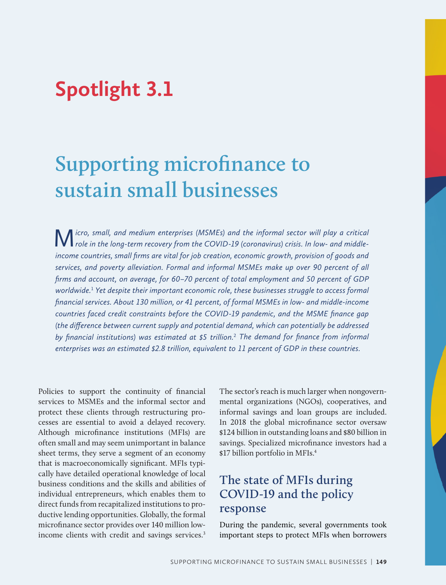# **Spotlight 3.1**

# **Supporting microfinance to sustain small businesses**

M*icro, small, and medium enterprises (MSMEs) and the informal sector will play a critical role in the long-term recovery from the COVID-19 (coronavirus) crisis. In low- and middleincome countries, small firms are vital for job creation, economic growth, provision of goods and services, and poverty alleviation. Formal and informal MSMEs make up over 90 percent of all firms and account, on average, for 60–70 percent of total employment and 50 percent of GDP worldwide.*<sup>1</sup>  *Yet despite their important economic role, these businesses struggle to access formal financial services. About 130 million, or 41 percent, of formal MSMEs in low- and middle-income countries faced credit constraints before the COVID-19 pandemic, and the MSME finance gap (the difference between current supply and potential demand, which can potentially be addressed by financial institutions) was estimated at \$5 trillion.*<sup>2</sup>  *The demand for finance from informal enterprises was an estimated \$2.8 trillion, equivalent to 11 percent of GDP in these countries.*

Policies to support the continuity of financial services to MSMEs and the informal sector and protect these clients through restructuring processes are essential to avoid a delayed recovery. Although microfinance institutions (MFIs) are often small and may seem unimportant in balance sheet terms, they serve a segment of an economy that is macroeconomically significant. MFIs typically have detailed operational knowledge of local business conditions and the skills and abilities of individual entrepreneurs, which enables them to direct funds from recapitalized institutions to productive lending opportunities. Globally, the formal microfinance sector provides over 140 million lowincome clients with credit and savings services.<sup>3</sup> The sector's reach is much larger when nongovernmental organizations (NGOs), cooperatives, and informal savings and loan groups are included. In 2018 the global microfinance sector oversaw \$124 billion in outstanding loans and \$80 billion in savings. Specialized microfinance investors had a \$17 billion portfolio in MFIs.<sup>4</sup>

# **The state of MFIs during COVID-19 and the policy response**

During the pandemic, several governments took important steps to protect MFIs when borrowers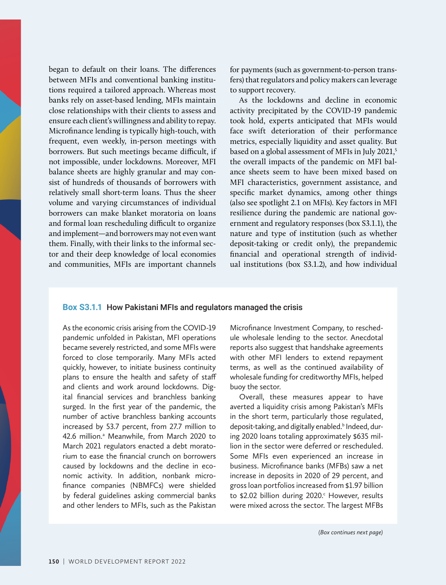began to default on their loans. The differences between MFIs and conventional banking institutions required a tailored approach. Whereas most banks rely on asset-based lending, MFIs maintain close relationships with their clients to assess and ensure each client's willingness and ability to repay. Microfinance lending is typically high-touch, with frequent, even weekly, in-person meetings with borrowers. But such meetings became difficult, if not impossible, under lockdowns. Moreover, MFI balance sheets are highly granular and may consist of hundreds of thousands of borrowers with relatively small short-term loans. Thus the sheer volume and varying circumstances of individual borrowers can make blanket moratoria on loans and formal loan rescheduling difficult to organize and implement—and borrowers may not even want them. Finally, with their links to the informal sector and their deep knowledge of local economies and communities, MFIs are important channels

for payments (such as government-to-person transfers) that regulators and policy makers can leverage to support recovery.

As the lockdowns and decline in economic activity precipitated by the COVID-19 pandemic took hold, experts anticipated that MFIs would face swift deterioration of their performance metrics, especially liquidity and asset quality. But based on a global assessment of MFIs in July 2021, $5$ the overall impacts of the pandemic on MFI balance sheets seem to have been mixed based on MFI characteristics, government assistance, and specific market dynamics, among other things (also see spotlight 2.1 on MFIs). Key factors in MFI resilience during the pandemic are national government and regulatory responses (box S3.1.1), the nature and type of institution (such as whether deposit-taking or credit only), the prepandemic financial and operational strength of individual institutions (box S3.1.2), and how individual

## **Box S3.1.1** How Pakistani MFIs and regulators managed the crisis

As the economic crisis arising from the COVID-19 pandemic unfolded in Pakistan, MFI operations became severely restricted, and some MFIs were forced to close temporarily. Many MFIs acted quickly, however, to initiate business continuity plans to ensure the health and safety of staff and clients and work around lockdowns. Digital financial services and branchless banking surged. In the first year of the pandemic, the number of active branchless banking accounts increased by 53.7 percent, from 27.7 million to 42.6 million.<sup>a</sup> Meanwhile, from March 2020 to March 2021 regulators enacted a debt moratorium to ease the financial crunch on borrowers caused by lockdowns and the decline in economic activity. In addition, nonbank microfinance companies (NBMFCs) were shielded by federal guidelines asking commercial banks and other lenders to MFIs, such as the Pakistan

Microfinance Investment Company, to reschedule wholesale lending to the sector. Anecdotal reports also suggest that handshake agreements with other MFI lenders to extend repayment terms, as well as the continued availability of wholesale funding for creditworthy MFIs, helped buoy the sector.

Overall, these measures appear to have averted a liquidity crisis among Pakistan's MFIs in the short term, particularly those regulated, deposit-taking, and digitally enabled.<sup>b</sup> Indeed, during 2020 loans totaling approximately \$635 million in the sector were deferred or rescheduled. Some MFIs even experienced an increase in business. Microfinance banks (MFBs) saw a net increase in deposits in 2020 of 29 percent, and gross loan portfolios increased from \$1.97 billion to \$2.02 billion during 2020.<sup>c</sup> However, results were mixed across the sector. The largest MFBs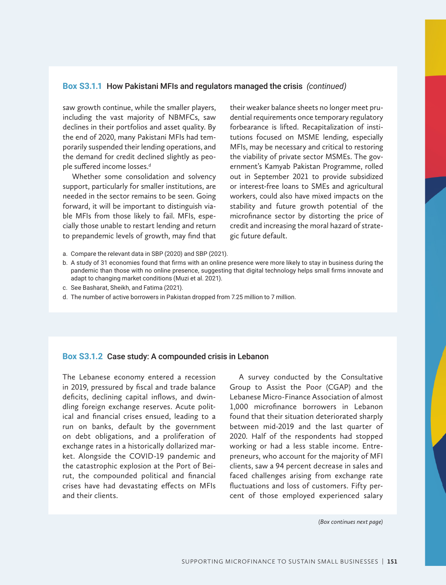### **Box S3.1.1** How Pakistani MFIs and regulators managed the crisis *(continued)*

saw growth continue, while the smaller players, including the vast majority of NBMFCs, saw declines in their portfolios and asset quality. By the end of 2020, many Pakistani MFIs had temporarily suspended their lending operations, and the demand for credit declined slightly as people suffered income losses.<sup>d</sup>

Whether some consolidation and solvency support, particularly for smaller institutions, are needed in the sector remains to be seen. Going forward, it will be important to distinguish viable MFIs from those likely to fail. MFIs, especially those unable to restart lending and return to prepandemic levels of growth, may find that

their weaker balance sheets no longer meet prudential requirements once temporary regulatory forbearance is lifted. Recapitalization of institutions focused on MSME lending, especially MFIs, may be necessary and critical to restoring the viability of private sector MSMEs. The government's Kamyab Pakistan Programme, rolled out in September 2021 to provide subsidized or interest-free loans to SMEs and agricultural workers, could also have mixed impacts on the stability and future growth potential of the microfinance sector by distorting the price of credit and increasing the moral hazard of strategic future default.

- a. Compare the relevant data in SBP (2020) and SBP (2021).
- b. A study of 31 economies found that firms with an online presence were more likely to stay in business during the pandemic than those with no online presence, suggesting that digital technology helps small firms innovate and adapt to changing market conditions (Muzi et al. 2021).
- c. See Basharat, Sheikh, and Fatima (2021).
- d. The number of active borrowers in Pakistan dropped from 7.25 million to 7 million.

#### **Box S3.1.2** Case study: A compounded crisis in Lebanon

The Lebanese economy entered a recession in 2019, pressured by fiscal and trade balance deficits, declining capital inflows, and dwindling foreign exchange reserves. Acute political and financial crises ensued, leading to a run on banks, default by the government on debt obligations, and a proliferation of exchange rates in a historically dollarized market. Alongside the COVID-19 pandemic and the catastrophic explosion at the Port of Beirut, the compounded political and financial crises have had devastating effects on MFIs and their clients.

A survey conducted by the Consultative Group to Assist the Poor (CGAP) and the Lebanese Micro-Finance Association of almost 1,000 microfinance borrowers in Lebanon found that their situation deteriorated sharply between mid-2019 and the last quarter of 2020. Half of the respondents had stopped working or had a less stable income. Entrepreneurs, who account for the majority of MFI clients, saw a 94 percent decrease in sales and faced challenges arising from exchange rate fluctuations and loss of customers. Fifty percent of those employed experienced salary

*(Box continues next page)*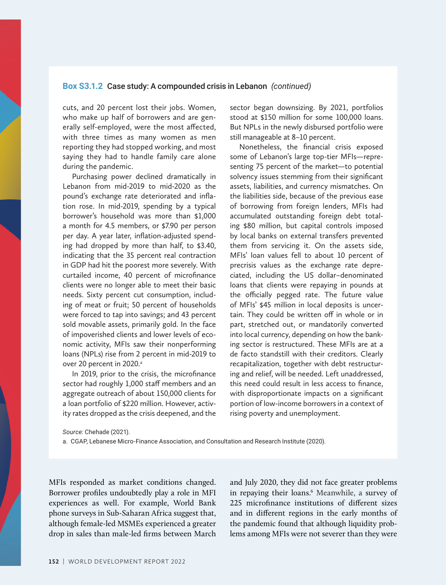### **Box S3.1.2** Case study: A compounded crisis in Lebanon *(continued)*

cuts, and 20 percent lost their jobs. Women, who make up half of borrowers and are generally self-employed, were the most affected, with three times as many women as men reporting they had stopped working, and most saying they had to handle family care alone during the pandemic.

Purchasing power declined dramatically in Lebanon from mid-2019 to mid-2020 as the pound's exchange rate deteriorated and inflation rose. In mid-2019, spending by a typical borrower's household was more than \$1,000 a month for 4.5 members, or \$7.90 per person per day. A year later, inflation-adjusted spending had dropped by more than half, to \$3.40, indicating that the 35 percent real contraction in GDP had hit the poorest more severely. With curtailed income, 40 percent of microfinance clients were no longer able to meet their basic needs. Sixty percent cut consumption, including of meat or fruit; 50 percent of households were forced to tap into savings; and 43 percent sold movable assets, primarily gold. In the face of impoverished clients and lower levels of economic activity, MFIs saw their nonperforming loans (NPLs) rise from 2 percent in mid-2019 to over 20 percent in 2020.<sup>a</sup>

In 2019, prior to the crisis, the microfinance sector had roughly 1,000 staff members and an aggregate outreach of about 150,000 clients for a loan portfolio of \$220 million. However, activity rates dropped as the crisis deepened, and the sector began downsizing. By 2021, portfolios stood at \$150 million for some 100,000 loans. But NPLs in the newly disbursed portfolio were still manageable at 8–10 percent.

Nonetheless, the financial crisis exposed some of Lebanon's large top-tier MFIs—representing 75 percent of the market—to potential solvency issues stemming from their significant assets, liabilities, and currency mismatches. On the liabilities side, because of the previous ease of borrowing from foreign lenders, MFIs had accumulated outstanding foreign debt totaling \$80 million, but capital controls imposed by local banks on external transfers prevented them from servicing it. On the assets side, MFIs' loan values fell to about 10 percent of precrisis values as the exchange rate depreciated, including the US dollar–denominated loans that clients were repaying in pounds at the officially pegged rate. The future value of MFIs' \$45 million in local deposits is uncertain. They could be written off in whole or in part, stretched out, or mandatorily converted into local currency, depending on how the banking sector is restructured. These MFIs are at a de facto standstill with their creditors. Clearly recapitalization, together with debt restructuring and relief, will be needed. Left unaddressed, this need could result in less access to finance, with disproportionate impacts on a significant portion of low-income borrowers in a context of rising poverty and unemployment.

*Source:* Chehade (2021).

a. CGAP, Lebanese Micro-Finance Association, and Consultation and Research Institute (2020).

MFIs responded as market conditions changed. Borrower profiles undoubtedly play a role in MFI experiences as well. For example, World Bank [phone surveys in Sub-Saharan Africa](https://documents1.worldbank.org/curated/en/735251621390657289/pdf/Monitoring-COVID-19-Impacts-on-Households-in-Ethiopia-How-COVID-19-is-Affecting-households-Results-from-the-High-Frequency-Phone-Surveys-of-Households-from-April-2020-through-January-2021.pdf) suggest that, although female-led MSMEs experienced a greater drop in sales than male-led firms between March and July 2020, they did not face greater problems in repaying their loans.6 Meanwhile, a survey of 225 microfinance institutions of different sizes and in different regions in the early months of the pandemic found that although liquidity problems among MFIs were not severer than they were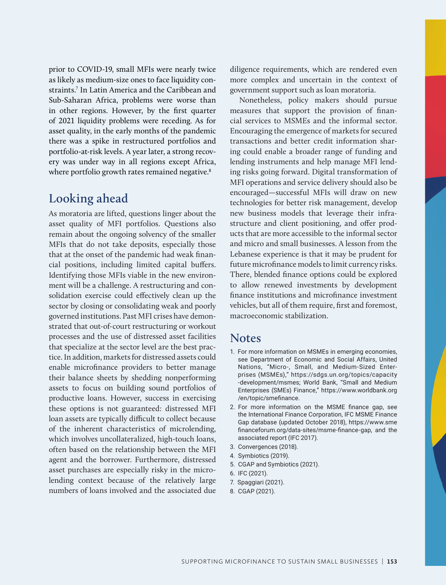prior to COVID-19, small MFIs were nearly twice as likely as medium-size ones to face liquidity constraints.7 In Latin America and the Caribbean and Sub-Saharan Africa, problems were worse than in other regions. However, by the first quarter of 2021 liquidity problems were receding. As for asset quality, in the early months of the pandemic there was a spike in restructured portfolios and portfolio-at-risk levels. A year later, a strong recovery was under way in all regions except Africa, where portfolio growth rates remained negative.<sup>8</sup>

## **Looking ahead**

As moratoria are lifted, questions linger about the asset quality of MFI portfolios. Questions also remain about the ongoing solvency of the smaller MFIs that do not take deposits, especially those that at the onset of the pandemic had weak financial positions, including limited capital buffers. Identifying those MFIs viable in the new environment will be a challenge. A restructuring and consolidation exercise could effectively clean up the sector by closing or consolidating weak and poorly governed institutions. Past MFI crises have demonstrated that out-of-court restructuring or workout processes and the use of distressed asset facilities that specialize at the sector level are the best practice. In addition, markets for distressed assets could enable microfinance providers to better manage their balance sheets by shedding nonperforming assets to focus on building sound portfolios of productive loans. However, success in exercising these options is not guaranteed: distressed MFI loan assets are typically difficult to collect because of the inherent characteristics of microlending, which involves uncollateralized, high-touch loans, often based on the relationship between the MFI agent and the borrower. Furthermore, distressed asset purchases are especially risky in the microlending context because of the relatively large numbers of loans involved and the associated due

diligence requirements, which are rendered even more complex and uncertain in the context of government support such as loan moratoria.

Nonetheless, policy makers should pursue measures that support the provision of financial services to MSMEs and the informal sector. Encouraging the emergence of markets for secured transactions and better credit information sharing could enable a broader range of funding and lending instruments and help manage MFI lending risks going forward. Digital transformation of MFI operations and service delivery should also be encouraged—successful MFIs will draw on new technologies for better risk management, develop new business models that leverage their infrastructure and client positioning, and offer products that are more accessible to the informal sector and micro and small businesses. A lesson from the Lebanese experience is that it may be prudent for future microfinance models to limit currency risks. There, blended finance options could be explored to allow renewed investments by development finance institutions and microfinance investment vehicles, but all of them require, first and foremost, macroeconomic stabilization.

## **Notes**

- 1. For more information on MSMEs in emerging economies, see Department of Economic and Social Affairs, United Nations, "Micro-, Small, and Medium-Sized Enterprises (MSMEs)," https://sdgs.un.org/topics/capacity -development/msmes; World Bank, "Small and Medium Enterprises (SMEs) Finance," https://www.worldbank.org /en/topic/smefinance.
- 2. For more information on the MSME finance gap, see the International Finance Corporation, IFC MSME Finance Gap database (updated October 2018), https://www.sme financeforum.org/data-sites/msme-finance-gap, and the associated report (IFC 2017).
- 3. Convergences (2018).
- 4. Symbiotics (2019).
- 5. CGAP and Symbiotics (2021).
- 6. IFC (2021).
- 7. Spaggiari (2021).
- 8. CGAP (2021).